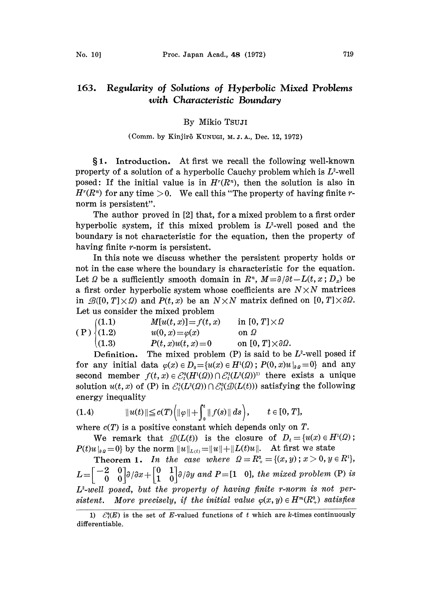## By Mikio TsuJI

## (Comm. by Kinjirô KUNUGI, M. J. A., Dec. 12, 1972)

1. Introduction. At first we recall the following well-known property of a solution of a hyperbolic Cauchy problem which is  $L^2$ -well posed: If the initial value is in  $H<sup>r</sup>(R<sup>n</sup>)$ , then the solution is also in  $H<sup>r</sup>(R<sup>n</sup>)$  for any time  $> 0$ . We call this "The property of having finite rnorm is persistent".

The author proved in [2] that, for a mixed problem to a first order hyperbolic system, if this mixed problem is  $L^2$ -well posed and the boundary is not characteristic for the equation, then the property o having finite *r*-norm is persistent.

In this note we discuss whether the persistent property holds or not in the case where the boundary is characteristic for the equation. Let  $\Omega$  be a sufficiently smooth domain in  $R^n$ ,  $M = \partial/\partial t - L(t, x; D_x)$  be a first order hyperbolic system whose coefficients are  $N \times N$  matrices in  $\mathcal{B}([0, T] \times \Omega)$  and  $P(t, x)$  be an  $N \times N$  matrix defined on  $[0, T] \times \partial \Omega$ . Let us consider the mixed problem

|                                                           | $M[u(t, x)] = f(t, x)$ | in $[0, T] \times \Omega$            |
|-----------------------------------------------------------|------------------------|--------------------------------------|
| $(P)$ $\begin{cases} (1.1) \\ (1.2) \\ (1.2) \end{cases}$ | $u(0, x) = \varphi(x)$ | on $\Omega$                          |
| (1.3)                                                     | $P(t, x)u(t, x)=0$     | on $[0, T] \times \partial \Omega$ . |

Definition. The mixed problem  $(P)$  is said to be  $L^2$ -well posed if for any initial data  $\varphi(x) \in D_0 = \{u(x) \in H^1(\Omega) \; ; \; P(0, x)u\vert_{\partial \Omega} = 0\}$  and any second member  $f(t, x) \in \mathcal{E}_t^0(H^1(\Omega)) \cap \mathcal{E}_t^1(L^2(\Omega))^{\{1\}}$  there exists a unique solution  $u(t, x)$  of (P) in  $\mathcal{E}_t^1(L^2(\Omega)) \cap \mathcal{E}_t^0(\mathcal{D}(L(t)))$  satisfying the following energy inequality

(1.4) 
$$
||u(t)|| \leq c(T) (||\varphi|| + \int_0^t ||f(s)|| ds), \qquad t \in [0, T],
$$

where  $c(T)$  is a positive constant which depends only on T.

We remark that  $\mathcal{D}(L(t))$  is the closure of  $D_t = {u(x) \in H^1(\Omega)}$ ;  $P(t)u|_{\partial\Omega}=0$  by the norm  $||u||_{L(t)}=||u||+||L(t)u||$ . At first we state

**Theorem 1.** In the case where  $\Omega = R_+^2 = \{(x, y) : x > 0, y \in R_+^1\}$ ,  $L=\begin{bmatrix} -2 & 0 \ 0 & 0 \end{bmatrix}$  $\partial/\partial x+\begin{bmatrix} 0 & 1 \ 1 & 0 \end{bmatrix}$  $\partial/\partial y$  and  $P=[1 \ 0]$ , the mixed problem (P) is L-well posed, but the property of having finite r-norm is not persistent. More precisely, if the initial value  $\varphi(x, y) \in H^m(R_+^2)$  satisfies

<sup>1)</sup>  $\mathcal{E}_{k}^{k}(E)$  is the set of E-valued functions of t which are k-times continuously differentiable.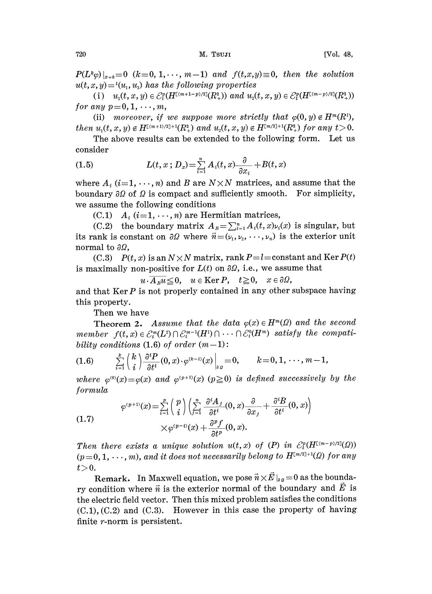$P(L^k\varphi)|_{x=0}=0$   $(k=0, 1,\dots, m-1)$  and  $f(t,x,y)\equiv 0$ , then the solution  $u(t, x, y) = t(u_1, u_2)$  has the following properties

(i)  $u_1(t, x, y) \in \mathcal{E}_t^p(H^{[(m+1-p)/2]}(R_+^2))$  and  $u_2(t, x, y) \in \mathcal{E}_t^p(H^{[(m-p)/2]}(R_+^2))$ for any  $p=0,1,\dots,m,$ 

(ii) moreover, if we suppose more strictly that  $\varphi(0, y) \notin H^m(R^1)$ , then  $u_1(t, x, y) \notin H^{[(m+1)/2]+1}(R_+^2)$  and  $u_2(t, x, y) \notin H^{[m/2]+1}(R_+^2)$  for any  $t > 0$ .

The above results can be extended to the following form. Let us consider

(1.5) 
$$
L(t, x; D_x) = \sum_{i=1}^n A_i(t, x) \frac{\partial}{\partial x_i} + B(t, x)
$$

where  $A_i$  (i=1,  $\cdots$ , n) and B are  $N \times N$  matrices, and assume that the boundary  $\partial\Omega$  of  $\Omega$  is compact and sufficiently smooth. For simplicity, we assume the following conditions

(C.1)  $A_i$  (i=1, ..., n) are Hermitian matrices,

(C.2) the boundary matrix  $A_{\overline{B}} = \sum_{i=1}^n A_i(t, x)\nu_i(x)$  is singular, but its rank is constant on  $\partial\Omega$  where  $\vec{n} = (\nu_1, \nu_2, \dots, \nu_n)$  is the exterior unit normal to  $\partial\Omega$ ,

(C.3)  $P(t, x)$  is an  $N \times N$  matrix, rank  $P = l = constant$  and Ker  $P(t)$ is maximally non-positive for  $L(t)$  on  $\partial\Omega$ , i.e., we assume that

 $u\cdot\overline{A_nu}\leq0$ ,  $u\in\text{Ker }P$ ,  $t\geq0$ ,  $x\in\partial\Omega$ ,

and that  $\text{Ker } P$  is not properly contained in any other subspace having this property.

Then we have

**Theorem 2.** Assume that the data  $\varphi(x) \in H^m(\Omega)$  and the second member  $f(t, x) \in \mathcal{E}_t^m(L^2) \cap \mathcal{E}_t^{m-1}(H^1) \cap \cdots \cap \mathcal{E}_t^0(H^m)$  satisfy the compatibility conditions  $(1.6)$  of order  $(m-1)$ :

$$
(1.6) \qquad \sum_{i=1}^k \binom{k}{i} \frac{\partial^i P}{\partial t^i}(0,x) \cdot \varphi^{(k-i)}(x) \Big|_{\partial \Omega} = 0, \qquad k = 0, 1, \cdots, m-1,
$$

where  $\varphi^{(0)}(x)=\varphi(x)$  and  $\varphi^{(p+1)}(x)$  ( $p\geq 0$ ) is defined successively by the formula

(1.7) 
$$
\varphi^{(p+1)}(x) = \sum_{i=1}^{p} \binom{p}{i} \left( \sum_{j=1}^{n} \frac{\partial^{i} A_{j}}{\partial t^{i}}(0, x) \frac{\partial}{\partial x_{j}} + \frac{\partial^{i} B}{\partial t^{i}}(0, x) \right) \times \varphi^{(p-1)}(x) + \frac{\partial^{p} f}{\partial t^{p}}(0, x).
$$

Then there exists a unique solution  $u(t, x)$  of  $(P)$  in  $\mathcal{E}_t^p(H^{[(m-p)/2]}(\Omega))$  $(p=0, 1, \dots, m)$ , and it does not necessarily belong to  $H^{[m/2]+1}(\Omega)$  for any

*t* > 0.<br>Remark. In Maxwell equation, we pose  $\vec{n} \times \vec{E} \mid_{a} = 0$  as the boundary condition where  $\vec{n}$  is the exterior normal of the boundary and  $\vec{E}$  is the electric field vector. Then this mixed problem satisfies the conditions  $(C.1), (C.2)$  and  $(C.3)$ . However in this case the property of having finite r-norm is persistent.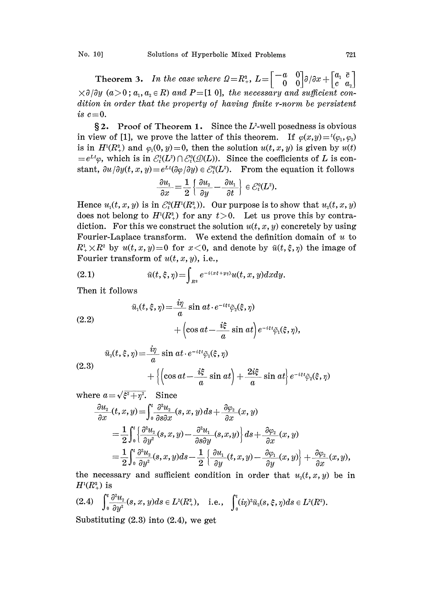**Theorem 3.** In the case where  $\Omega = R_+^2$ ,  $L = \begin{bmatrix} -a & 0 \\ 0 & 0 \end{bmatrix} \partial/\partial x + \begin{bmatrix} a_1 & \overline{c} \\ c & a_2 \end{bmatrix}$  $3\times\partial/\partial y$  (a>0; a<sub>1</sub>, a<sub>2</sub>  $\in$  R) and P=[1 0], the necessary and sufficient condition in order that the property of having finite r-norm be persistent is  $c=0$ .

 $\S 2$ . Proof of Theorem 1. Since the L<sup>2</sup>-well posedness is obvious in view of [1], we prove the latter of this theorem. If  $\varphi(x,y)=t(\varphi_1, \varphi_2)$ is in  $H^{1}(R_{+}^{2})$  and  $\varphi_{1}(0, y)=0$ , then the solution  $u(t, x, y)$  is given by  $u(t)$  $=e^{Lt}\varphi$ , which is in  $\mathcal{E}_t^1(L^2) \cap \mathcal{E}_t^0(\mathcal{D}(L))$ . Since the coefficients of L is constant,  $\partial u/\partial y(t, x, y) = e^{Lt}(\partial \varphi/\partial y) \in \mathcal{E}_t^0(L^2)$ . From the equation it follows

$$
\frac{\partial u_1}{\partial x} = \frac{1}{2} \left\{ \frac{\partial u_2}{\partial y} - \frac{\partial u_1}{\partial t} \right\} \in \mathcal{E}_t^0(L^2).
$$

Hence  $u_1(t, x, y)$  is in  $\mathcal{E}_t^0(H^1(R_+^2))$ . Our purpose is to show that  $u_2(t, x, y)$ does not belong to  $H^{1}(R_{+}^{2})$  for any  $t>0$ . Let us prove this by contradiction. For this we construct the solution  $u(t, x, y)$  concretely by using Fourier-Laplace transform. We extend the definition domain of  $u$  to  $R^1$ <sub>+</sub>  $\times R^2$  by  $u(t, x, y) = 0$  for  $x < 0$ , and denote by  $\tilde{u}(t, \xi, \eta)$  the image of Fourier transform of  $u(t, x, y)$ , i.e.,

(2.1) 
$$
\tilde{u}(t,\xi,\eta) = \int_{R^2} e^{-i(x\xi + y\eta)} u(t,x,y) dx dy.
$$

Then it follows

(2.2)  
\n
$$
\tilde{u}_1(t,\xi,\eta) = \frac{i\eta}{a}\sin at \cdot e^{-i\epsilon t}\tilde{\varphi}_2(\xi,\eta)
$$
\n
$$
+\left(\cos at - \frac{i\xi}{a}\sin at\right)e^{-i\epsilon t}\tilde{\varphi}_1(\xi,\eta),
$$

(2.3)  
\n
$$
\tilde{u}_2(t,\xi,\eta) = \frac{i\eta}{a}\sin at \cdot e^{-i\epsilon t}\tilde{\varphi}_1(\xi,\eta) + \left\{ \left(\cos at - \frac{i\xi}{a}\sin at\right) + \frac{2i\xi}{a}\sin at\right\} e^{-i\epsilon t}\tilde{\varphi}_2(\xi,\eta)
$$

where  $a = \sqrt{\xi^2 + \eta^2}$ . Since

re 
$$
a = \sqrt{\xi^2 + \eta^2}
$$
. Since  
\n
$$
\frac{\partial u_z}{\partial x}(t, x, y) = \int_0^t \frac{\partial^2 u_z}{\partial s \partial x}(s, x, y) ds + \frac{\partial \varphi_z}{\partial x}(x, y)
$$
\n
$$
= \frac{1}{2} \int_0^t \left\{ \frac{\partial^2 u_z}{\partial y^2}(s, x, y) - \frac{\partial^2 u_z}{\partial s \partial y}(s, x, y) \right\} ds + \frac{\partial \varphi_z}{\partial x}(x, y)
$$
\n
$$
= \frac{1}{2} \int_0^t \frac{\partial^2 u_z}{\partial y^2}(s, x, y) ds - \frac{1}{2} \left\{ \frac{\partial u_z}{\partial y}(t, x, y) - \frac{\partial \varphi_z}{\partial y}(x, y) \right\} + \frac{\partial \varphi_z}{\partial x}(x, y),
$$

the necessary and sufficient condition in order that  $u_2(t, x, y)$  be in  $H^{1}(R^{2}_{+})$  is

$$
(2.4)\quad \int_0^t\frac{\partial^2 u_2}{\partial y^2}(s,x,y)ds\in L^2(R^2_+),\quad \text{i.e.,}\quad \int_0^t(i\eta)^2\tilde{u}_2(s,\xi,\eta)ds\in L^2(R^2).
$$

Substituting  $(2.3)$  into  $(2.4)$ , we get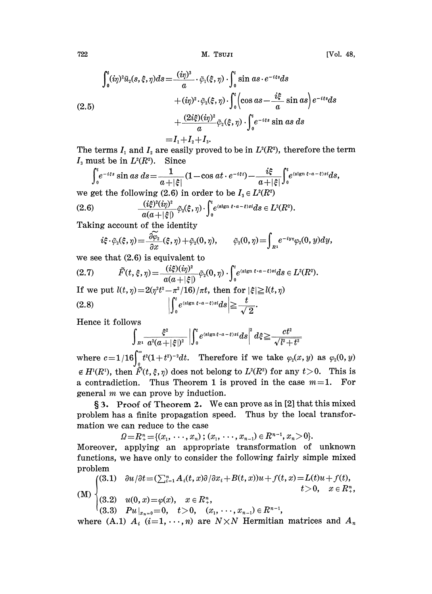722 M. TsuzI [Vol. 48,

$$
\int_0^t (i\eta)^2 \tilde{u}_2(s,\xi,\eta) ds = \frac{(i\eta)^3}{a} \cdot \tilde{\varphi}_1(\xi,\eta) \cdot \int_0^t \sin as \cdot e^{-i\xi s} ds \n+ (i\eta)^2 \cdot \tilde{\varphi}_2(\xi,\eta) \cdot \int_0^t \left(\cos as - \frac{i\xi}{a} \sin as\right) e^{-i\xi s} ds \n+ \frac{(2i\xi)(i\eta)^2}{a} \tilde{\varphi}_2(\xi,\eta) \cdot \int_0^t e^{-i\xi s} \sin as \, ds \n= I_1 + I_2 + I_3.
$$

 $I_1+I_2+I_3.$ <br>easily provence The terms  $I_1$  and  $I_2$  are easily proved to be in  $L^2(R^2)$ , therefore the term<br>  $I_3$  must be in  $L^2(R^2)$ . Since<br>  $\int_0^t e^{-i\xi s} \sin as \, ds = \frac{1}{a+|\xi|} (1-\cos at \cdot e^{-i\xi t}) - \frac{i\xi}{a+|\xi|} \int_0^t e^{(\text{sign } \xi \cdot a - \xi)st} ds$ ,  $I_3$  must be in  $L^2(R^2)$ . Since

$$
\int_0^t e^{-i\xi s} \sin as \, ds = \frac{1}{a+|\xi|} (1-\cos at \cdot e^{-i\xi t}) - \frac{i\xi}{a+|\xi|} \int_0^t e^{(\text{sign }\xi \cdot a - \xi)st} ds,
$$
  
we get the following (2.6) in order to be  $I_3 \in L^2(\mathbb{R}^2)$ 

(2.6) 
$$
\frac{(i\xi)^2(i\eta)^2}{a(a+|\xi|)}\tilde{\varphi}_2(\xi,\eta)\cdot\int_0^t e^{(slgn \xi\cdot a-\xi)si}ds\in L^2(R^2).
$$

Taking account of the identity

$$
i\xi\cdot\tilde\varphi_2(\xi,\eta)\!=\!\frac{\partial\widetilde\varphi_2}{\partial x}(\xi,\eta)+\tilde\varphi_2(0,\eta),\qquad \tilde\varphi_2(0,\eta)\!=\!\!\int_{R^1}\!e^{-iy\eta}\varphi_2(0,y)dy,
$$

we see that (2.6) is equivalent to

$$
(2.7) \quad \tilde{F}(t,\xi,\eta) = \frac{(i\xi)(i\eta)^2}{a(a+|\xi|)} \tilde{\varphi}_2(0,\eta) \cdot \int_0^t e^{(\text{sign }\xi \cdot a - \xi)st} ds \in L^2(R^2).
$$
\n
$$
\text{If we put } l(t,\eta) = 2(\eta^2 t^2 - \pi^2/16)/\pi t, \text{ then for } |\xi| \ge l(t,\eta)
$$
\n
$$
(2.8) \quad \left| \int_0^t e^{(\text{sign }\xi \cdot a - \xi)st} ds \right| \ge \frac{t}{\sqrt{2}}.
$$

Hence it follows

$$
\int_{R^1} \frac{\xi^2}{a^2(a+|\xi|^2)} \left| \int_0^t e^{(\text{sign}\xi \cdot a - \xi) s i} ds \right|^2 d\xi \geq \frac{ct^2}{\sqrt{l^2+t^2}}
$$

where  $c = 1/16 \int_{0}^{\infty} t^{2}(1+t^{2})^{-2}dt$ . Therefore if we take  $\varphi_{2}(x, y)$  as  $\varphi_{2}(0, y)$  $\epsilon H^{1}(R^{1})$ , then  $\tilde{F}(t, \xi, \eta)$  does not belong to  $L^{2}(R^{2})$  for any  $t>0$ . This is a contradiction. Thus Theorem 1 is proved in the case  $m=1$ . For general  $m$  we can prove by induction.

3. Proof of Theorem 2. We can prove as in [2] that this mixed problem has a finite propagation speed. Thus by the local transformation we can reduce to the case

 $\Omega = R^n_+ = \{(x_1, \ldots, x_n)$ ;  $(x_1, \ldots, x_{n-1}) \in R^{n-1}, x_n > 0\}.$ 

Moreover, applying an appropriate transformation of unknown functions, we have only to consider the following fairly simple mixed problem

$$
\text{(M)} \begin{cases} (3.1) & \frac{\partial u}{\partial t} = (\sum_{i=1}^n A_i(t, x) \frac{\partial}{\partial x_i} + B(t, x))u + f(t, x) = L(t)u + f(t), \\ (3.2) & u(0, x) = \varphi(x), \quad x \in R^n_+, \\ (3.3) & Pu \big|_{x_n = 0} = 0, \quad t > 0, \quad (x_1, \dots, x_{n-1}) \in R^{n-1}, \end{cases} \quad \text{(M)}
$$

where (A.1)  $A_i$  (i=1, ..., n) are  $N \times N$  Hermitian matrices and  $A_n$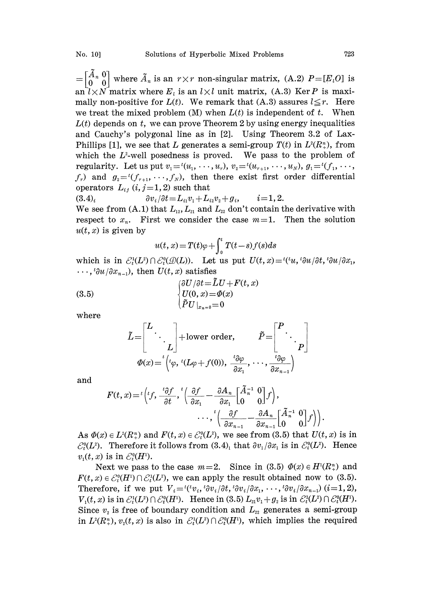$=[\begin{matrix} \tilde{A}_n & 0 \\ 0 & 0 \end{matrix}]$  where  $\tilde{A}_n$  is an  $r \times r$  non-singular matrix, (A.2)  $P=[E_i O]$  is an  $l \times N$  matrix where  $E_l$  is an  $l \times l$  unit matrix, (A.3) Ker P is maximally non-positive for  $L(t)$ . We remark that (A.3) assures  $l \leq r$ . Here we treat the mixed problem  $(M)$  when  $L(t)$  is independent of t. When  $L(t)$  depends on t, we can prove Theorem 2 by using energy inequalities and Cauchy's polygonal line as in [2]. Using Theorem 3.2 of Lax-Phillips [1], we see that L generates a semi-group  $T(t)$  in  $L^2(R_+^n)$ , from which the  $L^2$ -well posedness is proved. We pass to the problem of regularity. Let us put  $v_1 = (u_1, \dots, u_r), v_2 = (u_{r+1}, \dots, u_N), g_1 = (f_1, \dots, f_N)$  $f_r$ ) and  $g_2 = (f_{r+1}, \dots, f_N)$ , then there exist first order differential operators  $L_{ij}$  (i, j=1, 2) such that

$$
(3.4)_i \t\t \t\t \partial v_i/\partial t = L_{i1}v_1 + L_{i2}v_2 + g_i, \t i = 1, 2.
$$

We see from (A.1) that  $L_{12}$ ,  $L_{21}$  and  $L_{22}$  don't contain the derivative with respect to  $x_n$ . First we consider the case  $m=1$ . Then the solution  $u(t, x)$  is given by

$$
u(t, x) = T(t)\varphi + \int_0^t T(t - s)f(s)ds
$$

which is in  $\mathcal{E}_t^1(L^2) \cap \mathcal{E}_t^0(\mathcal{D}(L))$ . Let us put  $U(t, x) = {^{t}(t\mathcal{U}, t^2\partial u/\partial t, t^2\partial u/\partial x_1)}$  $\cdots$ ,  ${}^{t}\partial u/\partial x_{n-1}$ , then  $U(t, x)$  satisfies

(3.5) 
$$
\begin{cases} \frac{\partial U}{\partial t} = \tilde{L}U + F(t, x) \\ U(0, x) = \Phi(x) \\ \tilde{P}U|_{x_n = 0} = 0 \end{cases}
$$

where

$$
\tilde{L} = \begin{bmatrix} L & & \\ & \ddots & \\ & & L \end{bmatrix} + \text{lower order}, \qquad \tilde{P} = \begin{bmatrix} P & \\ & \ddots & \\ & & P \end{bmatrix}
$$

$$
\varPhi(x) = \left( {}^{t}(\varphi, {}^{t}(L\varphi + f(0)), \frac{{}^{t}\partial\varphi}{\partial x_{1}}, \cdots, \frac{{}^{t}\partial\varphi}{\partial x_{n-1}}) \right)
$$

and

$$
F(t, x) = {^{t}}\left(t, \frac{t \partial f}{\partial t}, {^{t}}\left(\frac{\partial f}{\partial x_{1}} - \frac{\partial A_{n}}{\partial x_{1}}\begin{bmatrix} \tilde{A}_{n}^{-1} & 0 \\ 0 & 0 \end{bmatrix}f\right), \dots, {^{t}}\left(\frac{\partial f}{\partial x_{n-1}} - \frac{\partial A_{n}}{\partial x_{n-1}}\begin{bmatrix} \tilde{A}_{n}^{-1} & 0 \\ 0 & 0 \end{bmatrix}f\right)\right).
$$

As  $\Phi(x) \in L^2(R_+^n)$  and  $F(t, x) \in \mathcal{E}_t^0(L^2)$ , we see from (3.5) that  $U(t, x)$  is in  $\mathcal{E}_{t}^{\mathfrak{g}}(L^{2})$ . Therefore it follows from  $(3.4)$ , that  $\partial v_{1}/\partial x_{1}$  is in  $\mathcal{E}_{t}^{\mathfrak{g}}(L^{2})$ . Hence  $v_1(t, x)$  is in  $\mathcal{E}_t^0(H^1)$ .

Next we pass to the case  $m=2$ . Since in (3.5)  $\Phi(x) \in H^1(R_+^n)$  and  $F(t, x) \in \mathcal{E}_t^0(H) \cap \mathcal{E}_t^1(L^2)$ , we can apply the result obtained now to (3.5). Therefore, if we put  $V_i = \frac{t(v_i, t_{\partial v_i}/\partial t, t_{\partial v_i}/\partial x_1, \dots, t_{\partial v_i}/\partial x_{n-1})} {i=1, 2}$ ,  $V_1(t, x)$  is in  $\mathcal{E}_t^1(L^2) \cap \mathcal{E}_t^0(H^1)$ . Hence in (3.5)  $L_{21}v_1+g_2$  is in  $\mathcal{E}_t^1(L^2) \cap \mathcal{E}_t^0(H^1)$ . Since  $v<sub>2</sub>$  is free of boundary condition and  $L_{22}$  generates a semi-group in  $L^{2}(R_{+}^{n}), v_{2}(t, x)$  is also in  $\mathcal{E}_{t}^{1}(L^{2}) \cap \mathcal{E}_{t}^{0}(H^{1}),$  which implies the required